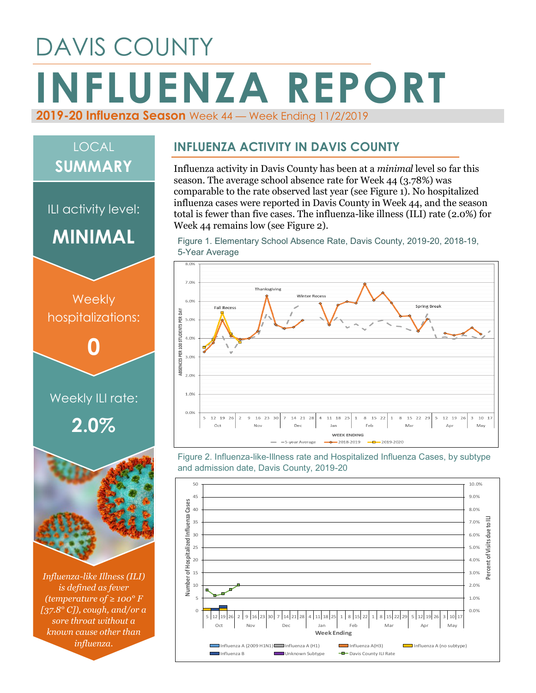# DAVIS COUNTY **INFLUENZA REPORT 2019-20 Influenza Season** Week 44 — Week Ending 11/2/2019

## LOCAL **SUMMARY**

ILI activity level:

**MINIMAL**



*Influenza-like Illness (ILI) is defined as fever (temperature of ≥ 100° F [37.8° C]), cough, and/or a sore throat without a known cause other than influenza.*

#### **INFLUENZA ACTIVITY IN DAVIS COUNTY**

Influenza activity in Davis County has been at a *minimal* level so far this season. The average school absence rate for Week 44 (3.78%) was comparable to the rate observed last year (see Figure 1). No hospitalized influenza cases were reported in Davis County in Week 44, and the season total is fewer than five cases. The influenza-like illness (ILI) rate (2.0%) for Week 44 remains low (see Figure 2).

Figure 1. Elementary School Absence Rate, Davis County, 2019-20, 2018-19, 5-Year Average



Figure 2. Influenza-like-Illness rate and Hospitalized Influenza Cases, by subtype and admission date, Davis County, 2019-20